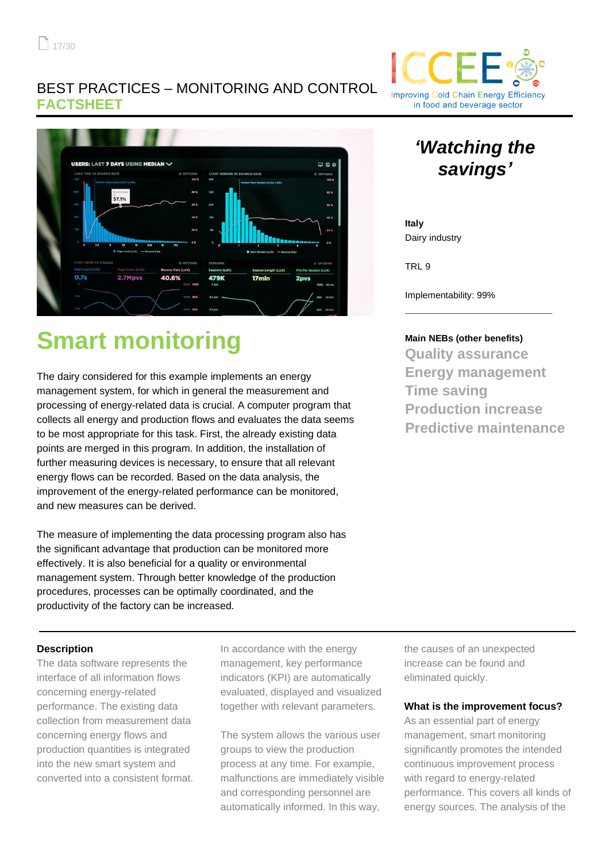### BEST PRACTICES – MONITORING AND CONTROL **FACTSHEET**



# **Smart monitoring**

The dairy considered for this example implements an energy management system, for which in general the measurement and processing of energy-related data is crucial. A computer program that collects all energy and production flows and evaluates the data seems to be most appropriate for this task. First, the already existing data points are merged in this program. In addition, the installation of further measuring devices is necessary, to ensure that all relevant energy flows can be recorded. Based on the data analysis, the improvement of the energy-related performance can be monitored, and new measures can be derived.

The measure of implementing the data processing program also has the significant advantage that production can be monitored more effectively. It is also beneficial for a quality or environmental management system. Through better knowledge of the production procedures, processes can be optimally coordinated, and the productivity of the factory can be increased.

### **Description**

The data software represents the interface of all information flows concerning energy-related performance. The existing data collection from measurement data concerning energy flows and production quantities is integrated into the new smart system and converted into a consistent format.

In accordance with the energy management, key performance indicators (KPI) are automatically evaluated, displayed and visualized together with relevant parameters.

The system allows the various user groups to view the production process at any time. For example, malfunctions are immediately visible and corresponding personnel are automatically informed. In this way,

the causes of an unexpected increase can be found and eliminated quickly.

#### **What is the improvement focus?**

As an essential part of energy management, smart monitoring significantly promotes the intended continuous improvement process with regard to energy-related performance. This covers all kinds of energy sources. The analysis of the



## *'Watching the savings'*

**Italy** Dairy industry

TRL 9

Implementability: 99%

#### **Main NEBs (other benefits)**

\_\_\_\_\_\_\_\_\_\_\_\_\_\_\_\_\_\_\_\_\_\_\_\_\_\_\_\_\_\_\_\_

**Quality assurance Energy management Time saving Production increase Predictive maintenance**